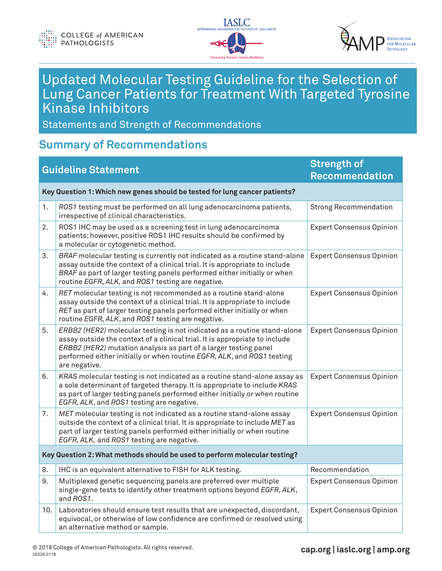



# Updated Molecular Testing Guideline for the Selection of Lung Cancer Patients for Treatment With Targeted Tyrosine Kinase Inhibitors

Statements and Strength of Recommendations

#### **Summary of Recommendations**

| <b>Guideline Statement</b>                                                 |                                                                                                                                                                                                                                                                                                                        | <b>Strength of</b><br><b>Recommendation</b> |  |  |
|----------------------------------------------------------------------------|------------------------------------------------------------------------------------------------------------------------------------------------------------------------------------------------------------------------------------------------------------------------------------------------------------------------|---------------------------------------------|--|--|
| Key Question 1: Which new genes should be tested for lung cancer patients? |                                                                                                                                                                                                                                                                                                                        |                                             |  |  |
| 1.                                                                         | ROS1 testing must be performed on all lung adenocarcinoma patients,<br>irrespective of clinical characteristics.                                                                                                                                                                                                       | <b>Strong Recommendation</b>                |  |  |
| 2.                                                                         | ROS1 IHC may be used as a screening test in lung adenocarcinoma<br>patients; however, positive ROS1 IHC results should be confirmed by<br>a molecular or cytogenetic method.                                                                                                                                           | <b>Expert Consensus Opinion</b>             |  |  |
| 3.                                                                         | BRAF molecular testing is currently not indicated as a routine stand-alone<br>assay outside the context of a clinical trial. It is appropriate to include<br>BRAF as part of larger testing panels performed either initially or when<br>routine EGFR, ALK, and ROS1 testing are negative.                             | <b>Expert Consensus Opinion</b>             |  |  |
| 4.                                                                         | RET molecular testing is not recommended as a routine stand-alone<br>assay outside the context of a clinical trial. It is appropriate to include<br>RET as part of larger testing panels performed either initially or when<br>routine EGFR, ALK, and ROS1 testing are negative.                                       | <b>Expert Consensus Opinion</b>             |  |  |
| 5.                                                                         | ERBB2 (HER2) molecular testing is not indicated as a routine stand-alone<br>assay outside the context of a clinical trial. It is appropriate to include<br>ERBB2 (HER2) mutation analysis as part of a larger testing panel<br>performed either initially or when routine EGFR, ALK, and ROS1 testing<br>are negative. | <b>Expert Consensus Opinion</b>             |  |  |
| 6.                                                                         | KRAS molecular testing is not indicated as a routine stand-alone assay as<br>a sole determinant of targeted therapy. It is appropriate to include KRAS<br>as part of larger testing panels performed either initially or when routine<br>EGFR, ALK, and ROS1 testing are negative.                                     | <b>Expert Consensus Opinion</b>             |  |  |
| 7.                                                                         | MET molecular testing is not indicated as a routine stand-alone assay<br>outside the context of a clinical trial. It is appropriate to include MET as<br>part of larger testing panels performed either initially or when routine<br>EGFR, ALK, and ROS1 testing are negative.                                         | <b>Expert Consensus Opinion</b>             |  |  |
| Key Question 2: What methods should be used to perform molecular testing?  |                                                                                                                                                                                                                                                                                                                        |                                             |  |  |
| 8.                                                                         | IHC is an equivalent alternative to FISH for ALK testing.                                                                                                                                                                                                                                                              | Recommendation                              |  |  |
| 9.                                                                         | Multiplexed genetic sequencing panels are preferred over multiple<br>single-gene tests to identify other treatment options beyond EGFR, ALK,<br>and ROS1.                                                                                                                                                              | <b>Expert Consensus Opinion</b>             |  |  |
| 10.                                                                        | Laboratories should ensure test results that are unexpected, discordant,<br>equivocal, or otherwise of low confidence are confirmed or resolved using<br>an alternative method or sample.                                                                                                                              | <b>Expert Consensus Opinion</b>             |  |  |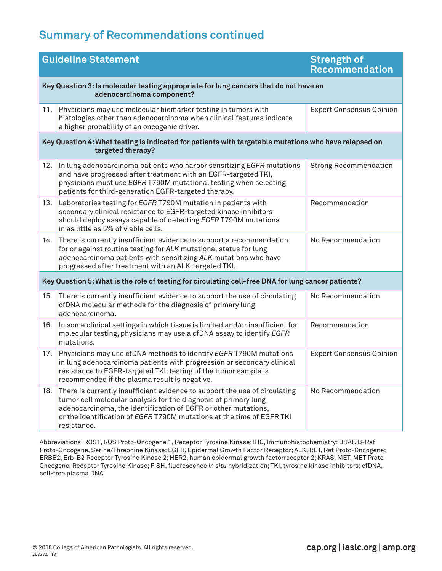## **Summary of Recommendations continued**

| <b>Guideline Statement</b>                                                                                                 |                                                                                                                                                                                                                                                                                                         | <b>Strength of</b><br><b>Recommendation</b> |  |  |
|----------------------------------------------------------------------------------------------------------------------------|---------------------------------------------------------------------------------------------------------------------------------------------------------------------------------------------------------------------------------------------------------------------------------------------------------|---------------------------------------------|--|--|
| Key Question 3: Is molecular testing appropriate for lung cancers that do not have an<br>adenocarcinoma component?         |                                                                                                                                                                                                                                                                                                         |                                             |  |  |
| 11.                                                                                                                        | Physicians may use molecular biomarker testing in tumors with<br>histologies other than adenocarcinoma when clinical features indicate<br>a higher probability of an oncogenic driver.                                                                                                                  | <b>Expert Consensus Opinion</b>             |  |  |
| Key Question 4: What testing is indicated for patients with targetable mutations who have relapsed on<br>targeted therapy? |                                                                                                                                                                                                                                                                                                         |                                             |  |  |
| 12.                                                                                                                        | In lung adenocarcinoma patients who harbor sensitizing EGFR mutations<br>and have progressed after treatment with an EGFR-targeted TKI,<br>physicians must use EGFR T790M mutational testing when selecting<br>patients for third-generation EGFR-targeted therapy.                                     | <b>Strong Recommendation</b>                |  |  |
| 13.                                                                                                                        | Laboratories testing for EGFR T790M mutation in patients with<br>secondary clinical resistance to EGFR-targeted kinase inhibitors<br>should deploy assays capable of detecting EGFR T790M mutations<br>in as little as 5% of viable cells.                                                              | Recommendation                              |  |  |
| 14.                                                                                                                        | There is currently insufficient evidence to support a recommendation<br>for or against routine testing for ALK mutational status for lung<br>adenocarcinoma patients with sensitizing ALK mutations who have<br>progressed after treatment with an ALK-targeted TKI.                                    | No Recommendation                           |  |  |
| Key Question 5: What is the role of testing for circulating cell-free DNA for lung cancer patients?                        |                                                                                                                                                                                                                                                                                                         |                                             |  |  |
| 15.                                                                                                                        | There is currently insufficient evidence to support the use of circulating<br>cfDNA molecular methods for the diagnosis of primary lung<br>adenocarcinoma.                                                                                                                                              | No Recommendation                           |  |  |
| 16.                                                                                                                        | In some clinical settings in which tissue is limited and/or insufficient for<br>molecular testing, physicians may use a cfDNA assay to identify EGFR<br>mutations.                                                                                                                                      | Recommendation                              |  |  |
| 17.                                                                                                                        | Physicians may use cfDNA methods to identify EGFR T790M mutations<br>in lung adenocarcinoma patients with progression or secondary clinical<br>resistance to EGFR-targeted TKI; testing of the tumor sample is<br>recommended if the plasma result is negative.                                         | <b>Expert Consensus Opinion</b>             |  |  |
| 18.                                                                                                                        | There is currently insufficient evidence to support the use of circulating<br>tumor cell molecular analysis for the diagnosis of primary lung<br>adenocarcinoma, the identification of EGFR or other mutations,<br>or the identification of EGFR T790M mutations at the time of EGFR TKI<br>resistance. | No Recommendation                           |  |  |

Abbreviations: ROS1, ROS Proto-Oncogene 1, Receptor Tyrosine Kinase; IHC, Immunohistochemistry; BRAF, B-Raf Proto-Oncogene, Serine/Threonine Kinase; EGFR, Epidermal Growth Factor Receptor; ALK, RET, Ret Proto-Oncogene; ERBB2, Erb-B2 Receptor Tyrosine Kinase 2; HER2, human epidermal growth factorreceptor 2; KRAS, MET, MET Proto-Oncogene, Receptor Tyrosine Kinase; FISH, fluorescence *in situ* hybridization; TKI, tyrosine kinase inhibitors; cfDNA, cell-free plasma DNA